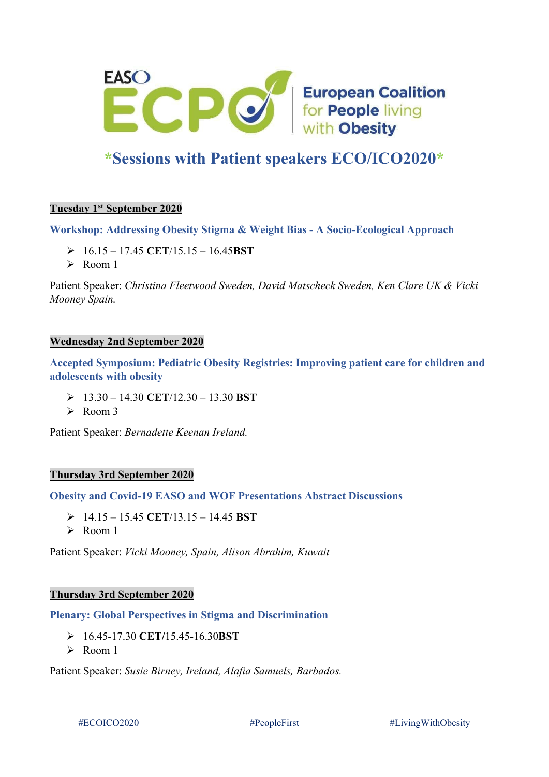

# **\*Sessions with Patient speakers ECO/ICO2020\***

# **Tuesday 1st September 2020**

**Workshop: Addressing Obesity Stigma & Weight Bias - A Socio-Ecological Approach**

- 16.15 17.45 **CET**/15.15 16.45**BST**
- Room 1

Patient Speaker: *Christina Fleetwood Sweden, David Matscheck Sweden, Ken Clare UK & Vicki Mooney Spain.*

#### **Wednesday 2nd September 2020**

**Accepted Symposium: Pediatric Obesity Registries: Improving patient care for children and adolescents with obesity**

- 13.30 14.30 **CET**/12.30 13.30 **BST**
- $\triangleright$  Room 3

Patient Speaker: *Bernadette Keenan Ireland.*

#### **Thursday 3rd September 2020**

**Obesity and Covid-19 EASO and WOF Presentations Abstract Discussions**

- 14.15 15.45 **CET**/13.15 14.45 **BST**
- $\triangleright$  Room 1

Patient Speaker: *Vicki Mooney, Spain, Alison Abrahim, Kuwait*

#### **Thursday 3rd September 2020**

**Plenary: Global Perspectives in Stigma and Discrimination**

- 16.45-17.30 **CET/**15.45-16.30**BST**
- $\triangleright$  Room 1

Patient Speaker: *Susie Birney, Ireland, Alafia Samuels, Barbados.*

#ECOICO2020 #PeopleFirst #LivingWithObesity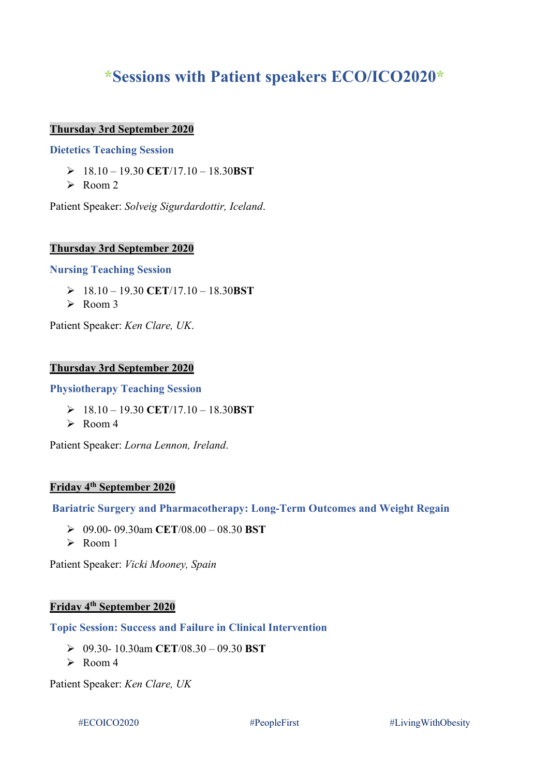# **\*Sessions with Patient speakers ECO/ICO2020\***

## **Thursday 3rd September 2020**

## **Dietetics Teaching Session**

- 18.10 19.30 **CET**/17.10 18.30**BST**
- $\triangleright$  Room 2

Patient Speaker: *Solveig Sigurdardottir, Iceland*.

## **Thursday 3rd September 2020**

#### **Nursing Teaching Session**

- 18.10 19.30 **CET**/17.10 18.30**BST**
- $\triangleright$  Room 3

Patient Speaker: *Ken Clare, UK*.

#### **Thursday 3rd September 2020**

## **Physiotherapy Teaching Session**

- 18.10 19.30 **CET**/17.10 18.30**BST**
- $\triangleright$  Room 4

Patient Speaker: *Lorna Lennon, Ireland*.

# **Friday 4th September 2020**

#### **Bariatric Surgery and Pharmacotherapy: Long-Term Outcomes and Weight Regain**

- 09.00- 09.30am **CET**/08.00 08.30 **BST**
- $\triangleright$  Room 1

Patient Speaker: *Vicki Mooney, Spain*

# **Friday 4th September 2020**

**Topic Session: Success and Failure in Clinical Intervention**

- 09.30- 10.30am **CET**/08.30 09.30 **BST**
- $\triangleright$  Room 4

Patient Speaker: *Ken Clare, UK*